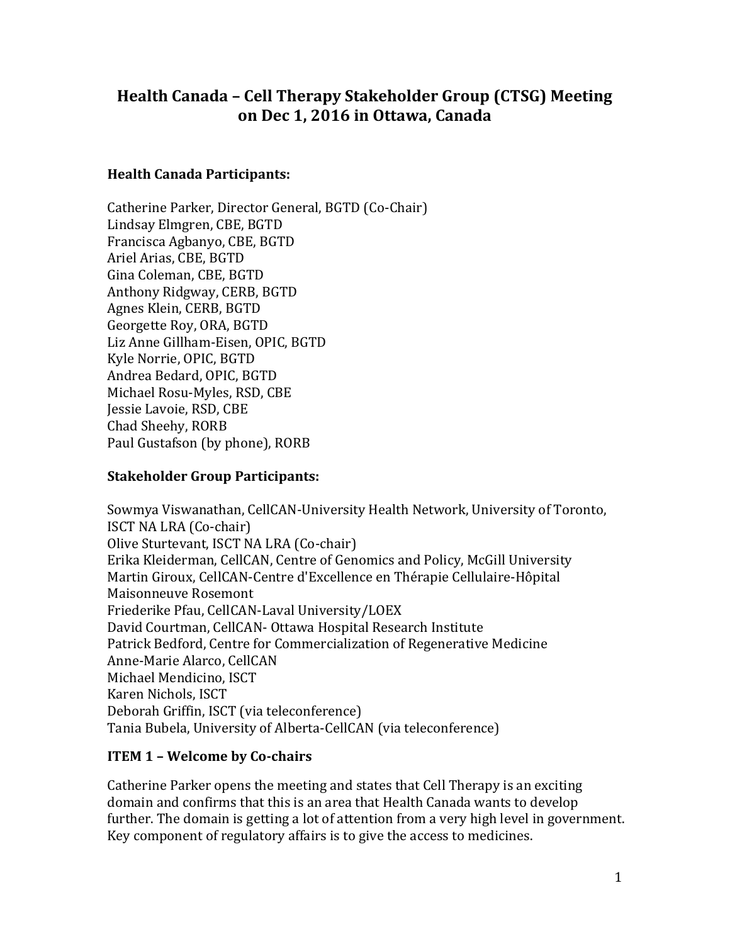# **Health Canada – Cell Therapy Stakeholder Group (CTSG) Meeting on Dec 1, 2016 in Ottawa, Canada**

## **Health Canada Participants:**

Catherine Parker, Director General, BGTD (Co-Chair) Lindsay Elmgren, CBE, BGTD Francisca Agbanyo, CBE, BGTD Ariel Arias, CBE, BGTD Gina Coleman, CBE, BGTD Anthony Ridgway, CERB, BGTD Agnes Klein, CERB, BGTD Georgette Roy, ORA, BGTD Liz Anne Gillham-Eisen, OPIC, BGTD Kyle Norrie, OPIC, BGTD Andrea Bedard, OPIC, BGTD Michael Rosu-Myles, RSD, CBE Jessie Lavoie, RSD, CBE Chad Sheehy, RORB Paul Gustafson (by phone), RORB

## **Stakeholder Group Participants:**

Sowmya Viswanathan, CellCAN-University Health Network, University of Toronto, ISCT NA LRA (Co-chair) Olive Sturtevant, ISCT NA LRA (Co-chair) Erika Kleiderman, CellCAN, Centre of Genomics and Policy, McGill University Martin Giroux, CellCAN-Centre d'Excellence en Thérapie Cellulaire-Hôpital Maisonneuve Rosemont Friederike Pfau, CellCAN-Laval University/LOEX David Courtman, CellCAN- Ottawa Hospital Research Institute Patrick Bedford, Centre for Commercialization of Regenerative Medicine Anne-Marie Alarco, CellCAN Michael Mendicino, ISCT Karen Nichols, ISCT Deborah Griffin, ISCT (via teleconference) Tania Bubela, University of Alberta-CellCAN (via teleconference)

## **ITEM 1 – Welcome by Co-chairs**

Catherine Parker opens the meeting and states that Cell Therapy is an exciting domain and confirms that this is an area that Health Canada wants to develop further. The domain is getting a lot of attention from a very high level in government. Key component of regulatory affairs is to give the access to medicines.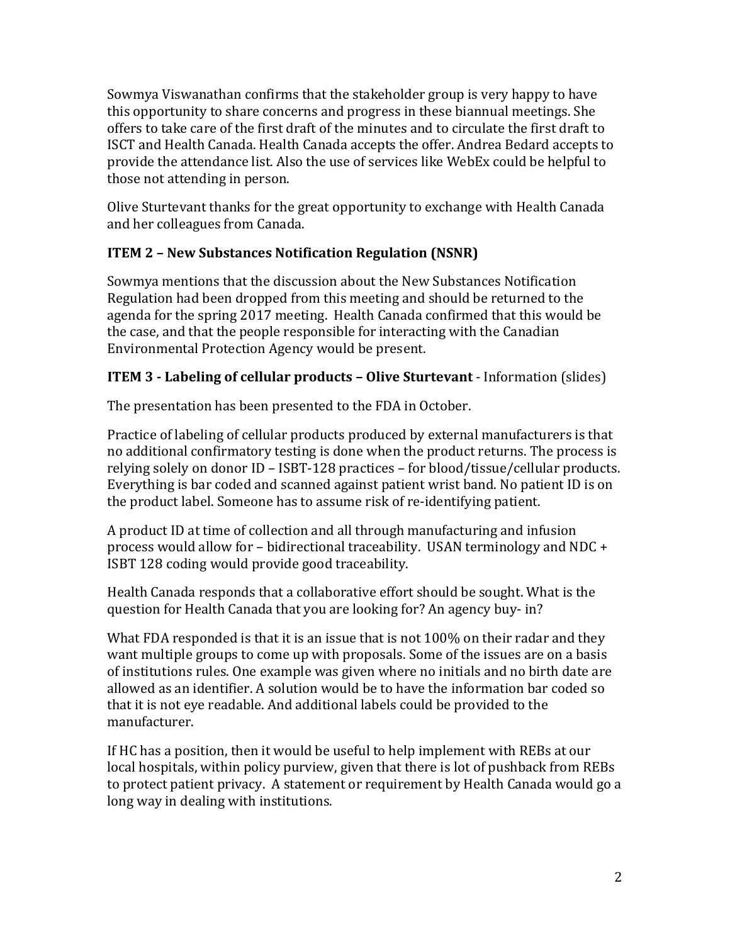Sowmya Viswanathan confirms that the stakeholder group is very happy to have this opportunity to share concerns and progress in these biannual meetings. She offers to take care of the first draft of the minutes and to circulate the first draft to ISCT and Health Canada. Health Canada accepts the offer. Andrea Bedard accepts to provide the attendance list. Also the use of services like WebEx could be helpful to those not attending in person.

Olive Sturtevant thanks for the great opportunity to exchange with Health Canada and her colleagues from Canada.

# **ITEM 2 – New Substances Notification Regulation (NSNR)**

Sowmya mentions that the discussion about the New Substances Notification Regulation had been dropped from this meeting and should be returned to the agenda for the spring 2017 meeting. Health Canada confirmed that this would be the case, and that the people responsible for interacting with the Canadian Environmental Protection Agency would be present.

# **ITEM 3 - Labeling of cellular products – Olive Sturtevant** - Information (slides)

The presentation has been presented to the FDA in October.

Practice of labeling of cellular products produced by external manufacturers is that no additional confirmatory testing is done when the product returns. The process is relying solely on donor ID – ISBT-128 practices – for blood/tissue/cellular products. Everything is bar coded and scanned against patient wrist band. No patient ID is on the product label. Someone has to assume risk of re-identifying patient.

A product ID at time of collection and all through manufacturing and infusion process would allow for – bidirectional traceability. USAN terminology and NDC + ISBT 128 coding would provide good traceability.

Health Canada responds that a collaborative effort should be sought. What is the question for Health Canada that you are looking for? An agency buy- in?

What FDA responded is that it is an issue that is not 100% on their radar and they want multiple groups to come up with proposals. Some of the issues are on a basis of institutions rules. One example was given where no initials and no birth date are allowed as an identifier. A solution would be to have the information bar coded so that it is not eye readable. And additional labels could be provided to the manufacturer.

If HC has a position, then it would be useful to help implement with REBs at our local hospitals, within policy purview, given that there is lot of pushback from REBs to protect patient privacy. A statement or requirement by Health Canada would go a long way in dealing with institutions.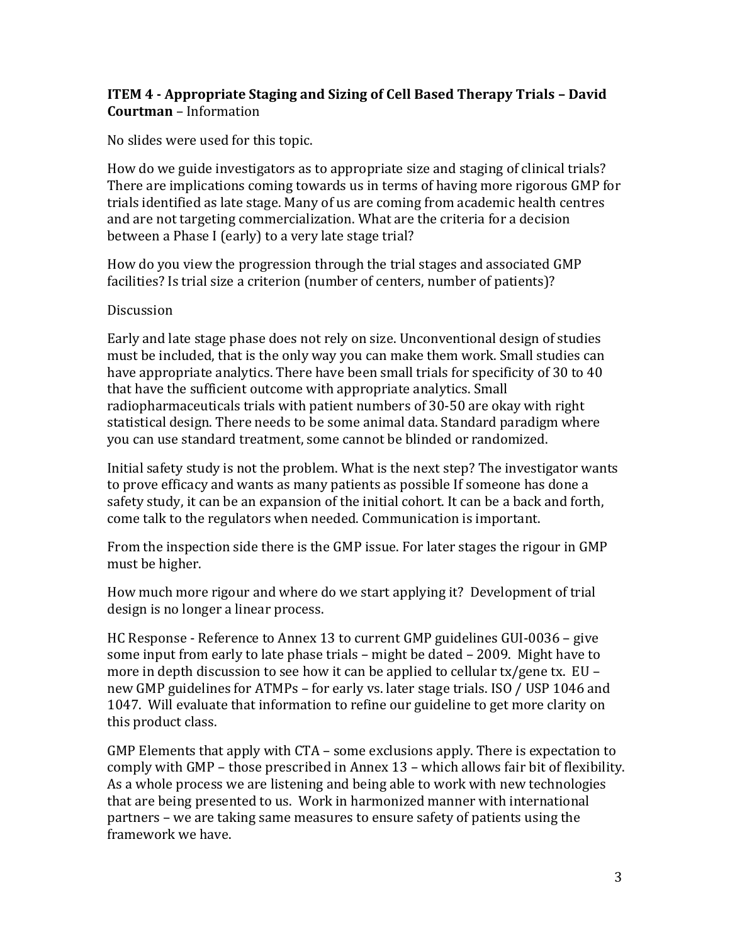## **ITEM 4 - Appropriate Staging and Sizing of Cell Based Therapy Trials – David Courtman** – Information

No slides were used for this topic.

How do we guide investigators as to appropriate size and staging of clinical trials? There are implications coming towards us in terms of having more rigorous GMP for trials identified as late stage. Many of us are coming from academic health centres and are not targeting commercialization. What are the criteria for a decision between a Phase I (early) to a very late stage trial?

How do you view the progression through the trial stages and associated GMP facilities? Is trial size a criterion (number of centers, number of patients)?

#### Discussion

Early and late stage phase does not rely on size. Unconventional design of studies must be included, that is the only way you can make them work. Small studies can have appropriate analytics. There have been small trials for specificity of 30 to 40 that have the sufficient outcome with appropriate analytics. Small radiopharmaceuticals trials with patient numbers of 30-50 are okay with right statistical design. There needs to be some animal data. Standard paradigm where you can use standard treatment, some cannot be blinded or randomized.

Initial safety study is not the problem. What is the next step? The investigator wants to prove efficacy and wants as many patients as possible If someone has done a safety study, it can be an expansion of the initial cohort. It can be a back and forth, come talk to the regulators when needed. Communication is important.

From the inspection side there is the GMP issue. For later stages the rigour in GMP must be higher.

How much more rigour and where do we start applying it? Development of trial design is no longer a linear process.

HC Response - Reference to Annex 13 to current GMP guidelines GUI-0036 – give some input from early to late phase trials – might be dated – 2009. Might have to more in depth discussion to see how it can be applied to cellular tx/gene tx. EU – new GMP guidelines for ATMPs – for early vs. later stage trials. ISO / USP 1046 and 1047. Will evaluate that information to refine our guideline to get more clarity on this product class.

GMP Elements that apply with CTA – some exclusions apply. There is expectation to comply with GMP – those prescribed in Annex 13 – which allows fair bit of flexibility. As a whole process we are listening and being able to work with new technologies that are being presented to us. Work in harmonized manner with international partners – we are taking same measures to ensure safety of patients using the framework we have.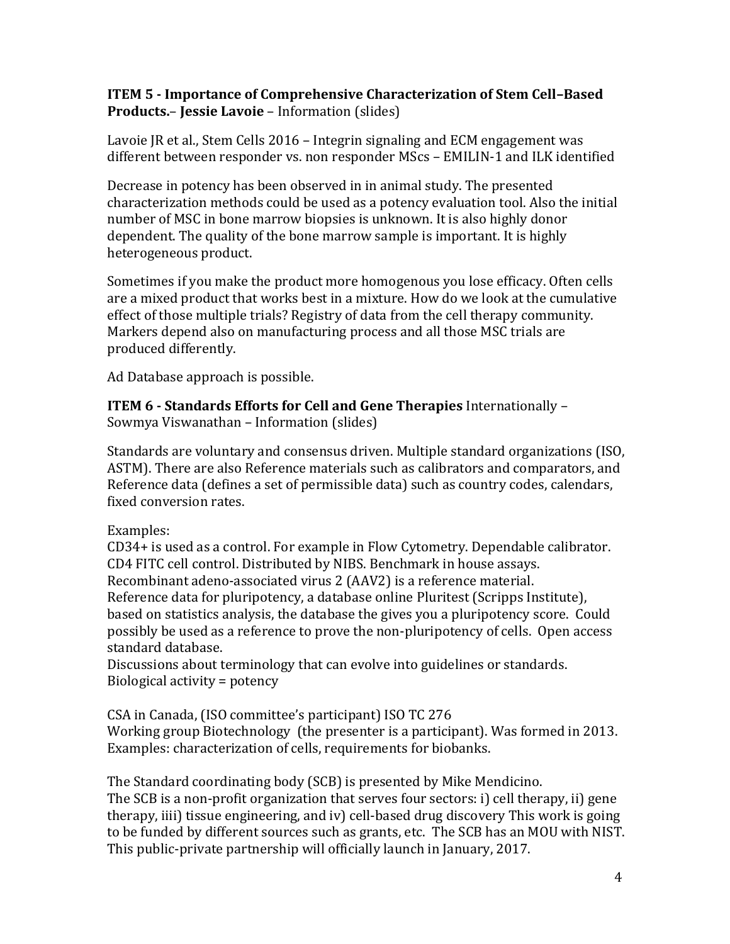## **ITEM 5 - Importance of Comprehensive Characterization of Stem Cell–Based Products.**– **Jessie Lavoie** – Information (slides)

Lavoie JR et al., Stem Cells 2016 – Integrin signaling and ECM engagement was different between responder vs. non responder MScs – EMILIN-1 and ILK identified

Decrease in potency has been observed in in animal study. The presented characterization methods could be used as a potency evaluation tool. Also the initial number of MSC in bone marrow biopsies is unknown. It is also highly donor dependent. The quality of the bone marrow sample is important. It is highly heterogeneous product.

Sometimes if you make the product more homogenous you lose efficacy. Often cells are a mixed product that works best in a mixture. How do we look at the cumulative effect of those multiple trials? Registry of data from the cell therapy community. Markers depend also on manufacturing process and all those MSC trials are produced differently.

Ad Database approach is possible.

**ITEM 6 - Standards Efforts for Cell and Gene Therapies** Internationally – Sowmya Viswanathan – Information (slides)

Standards are voluntary and consensus driven. Multiple standard organizations (ISO, ASTM). There are also Reference materials such as calibrators and comparators, and Reference data (defines a set of permissible data) such as country codes, calendars, fixed conversion rates.

Examples:

CD34+ is used as a control. For example in Flow Cytometry. Dependable calibrator. CD4 FITC cell control. Distributed by NIBS. Benchmark in house assays. Recombinant adeno-associated virus 2 (AAV2) is a reference material. Reference data for pluripotency, a database online Pluritest (Scripps Institute), based on statistics analysis, the database the gives you a pluripotency score. Could possibly be used as a reference to prove the non-pluripotency of cells. Open access standard database.

Discussions about terminology that can evolve into guidelines or standards. Biological activity = potency

CSA in Canada, (ISO committee's participant) ISO TC 276 Working group Biotechnology (the presenter is a participant). Was formed in 2013. Examples: characterization of cells, requirements for biobanks.

The Standard coordinating body (SCB) is presented by Mike Mendicino. The SCB is a non-profit organization that serves four sectors: i) cell therapy, ii) gene therapy, iiii) tissue engineering, and iv) cell-based drug discovery This work is going to be funded by different sources such as grants, etc. The SCB has an MOU with NIST. This public-private partnership will officially launch in January, 2017.